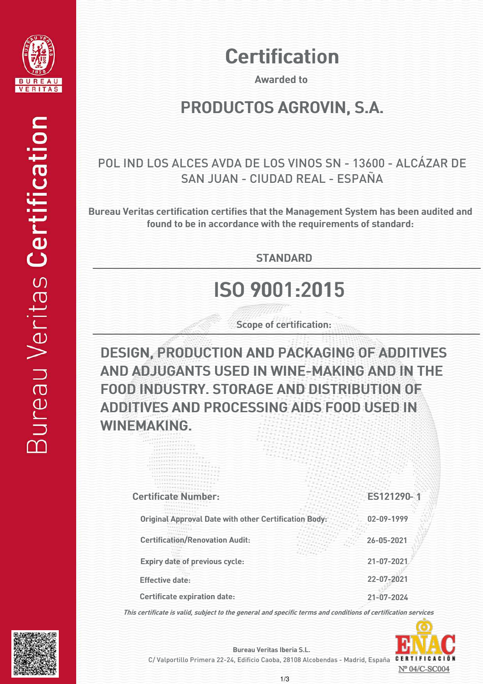

## **Certification**

Awarded to

#### PRODUCTOS AGROVIN, S.A.

#### POL IND LOS ALCES AVDA DE LOS VINOS SN - 13600 - ALCÁZAR DE SAN JUAN - CIUDAD REAL - ESPAÑA

Bureau Veritas certification certifies that the Management System has been audited and found to be in accordance with the requirements of standard:

**STANDARD** 

## ISO 9001:2015

Scope of certification:

DESIGN, PRODUCTION AND PACKAGING OF ADDITIVES AND ADJUGANTS USED IN WINE-MAKING AND IN THE FOOD INDUSTRY. STORAGE AND DISTRIBUTION OF ADDITIVES AND PROCESSING AIDS FOOD USED IN WINEMAKING.

| <b>Certificate Number:</b>                                   | ES121290-1 |
|--------------------------------------------------------------|------------|
| <b>Original Approval Date with other Certification Body:</b> | 02-09-1999 |
| <b>Certification/Renovation Audit:</b>                       | 26-05-2021 |
| Expiry date of previous cycle:                               | 21-07-2021 |
| <b>Effective date:</b>                                       | 22-07-2021 |
| <b>Certificate expiration date:</b>                          | 21-07-2024 |

This certificate is valid, subject to the general and specific terms and conditions of certification services





Bureau Veritas Iberia S.L.

C/ Valportillo Primera 22-24, Edificio Caoba, 28108 Alcobendas - Madrid, España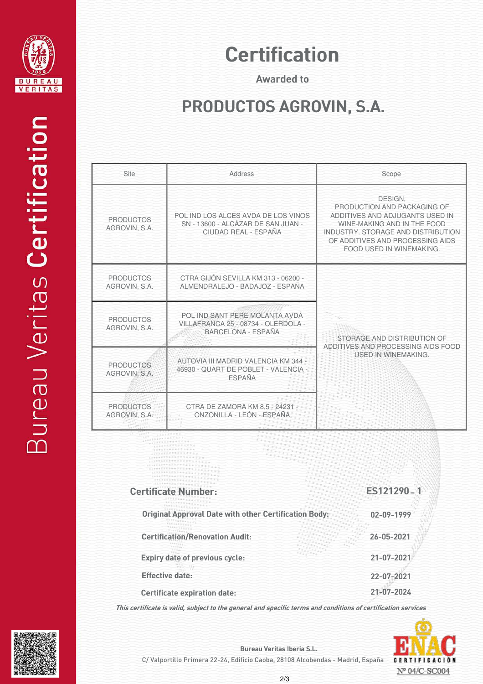

## **Certification**

Awarded to

## PRODUCTOS AGROVIN, S.A.

| Site                              | Address                                                                                            | Scope                                                                                                                                                                                                          |
|-----------------------------------|----------------------------------------------------------------------------------------------------|----------------------------------------------------------------------------------------------------------------------------------------------------------------------------------------------------------------|
| <b>PRODUCTOS</b><br>AGROVIN, S.A. | POL IND LOS ALCES AVDA DE LOS VINOS<br>SN - 13600 - ALCÁZAR DE SAN JUAN -<br>CIUDAD REAL - ESPAÑA  | DESIGN,<br>PRODUCTION AND PACKAGING OF<br>ADDITIVES AND ADJUGANTS USED IN<br>WINE-MAKING AND IN THE FOOD<br>INDUSTRY, STORAGE AND DISTRIBUTION<br>OF ADDITIVES AND PROCESSING AIDS<br>FOOD USED IN WINEMAKING. |
| <b>PRODUCTOS</b><br>AGROVIN, S.A. | CTRA GIJÓN SEVILLA KM 313 - 06200 -<br>ALMENDRALEJO - BADAJOZ - ESPAÑA                             | STORAGE AND DISTRIBUTION OF<br>ADDITIVES AND PROCESSING AIDS FOOD<br><b>USED IN WINEMAKING.</b>                                                                                                                |
| <b>PRODUCTOS</b><br>AGROVIN, S.A. | POL IND SANT PERE MOLANTA AVDA<br>VILLAFRANCA 25 - 08734 - OLERDOLA -<br><b>BARCELONA - ESPAÑA</b> |                                                                                                                                                                                                                |
| <b>PRODUCTOS</b><br>AGROVIN, S.A. | AUTOVIA III MADRID VALENCIA KM 344 -<br>46930 - QUART DE POBLET - VALENCIA<br><b>ESPAÑA</b>        |                                                                                                                                                                                                                |
| <b>PRODUCTOS</b><br>AGROVIN, S.A. | CTRA DE ZAMORA KM 8.5 - 24231 -<br>ONZONILLA - LEÓN - ESPAÑA.                                      |                                                                                                                                                                                                                |

| <b>Certificate Number:</b>                                   | ES121290-1 |
|--------------------------------------------------------------|------------|
| <b>Original Approval Date with other Certification Body:</b> | 02-09-1999 |
| <b>Certification/Renovation Audit:</b>                       | 26-05-2021 |
| Expiry date of previous cycle:                               | 21-07-2021 |
| <b>Effective date:</b>                                       | 22-07-2021 |
| <b>Certificate expiration date:</b>                          | 21-07-2024 |
|                                                              |            |

This certificate is valid, subject to the general and specific terms and conditions of certification services